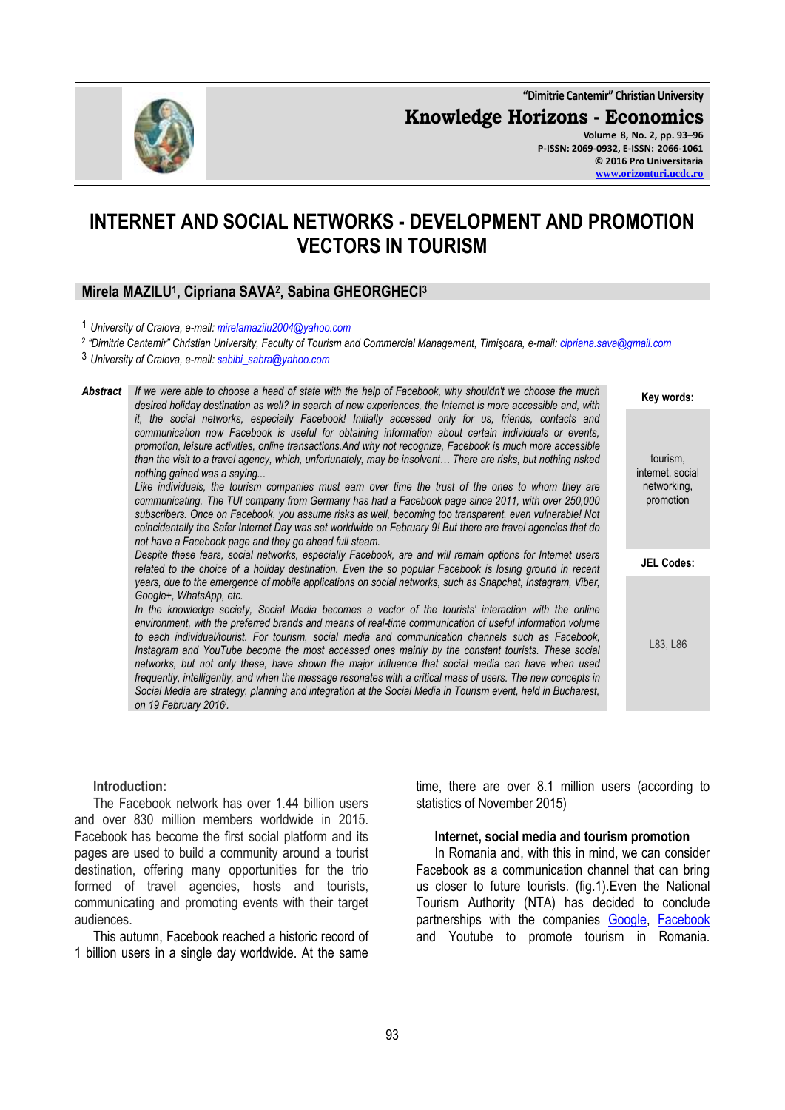**"Dimitrie Cantemir" Christian University**

**Knowledge Horizons - Economics**



**Volume 8, No. 2, pp. 93–96 P-ISSN: 2069-0932, E-ISSN: 2066-1061 © 2016 Pro Universitaria [www.orizonturi.ucdc.ro](http://www.orizonturi.ucdc.ro/)**

# **INTERNET AND SOCIAL NETWORKS - DEVELOPMENT AND PROMOTION VECTORS IN TOURISM**

## **Mirela MAZILU<sup>1</sup> , Cipriana SAVA<sup>2</sup> , Sabina GHEORGHECI<sup>3</sup>**

<sup>2</sup> "Dimitrie Cantemir" Christian University, Faculty of Tourism and Commercial Management, Timişoara, e-mail: <u>cipriana.sava@gmail.com</u>

*Abstract If we were able to choose a head of state with the help of Facebook, why shouldn't we choose the much desired holiday destination as well? In search of new experiences, the Internet is more accessible and, with it, the social networks, especially Facebook! Initially accessed only for us, friends, contacts and communication now Facebook is useful for obtaining information about certain individuals or events, promotion, leisure activities, online transactions.And why not recognize, Facebook is much more accessible than the visit to a travel agency, which, unfortunately, may be insolvent… There are risks, but nothing risked nothing gained was a saying... Like individuals, the tourism companies must earn over time the trust of the ones to whom they are communicating. The TUI company from Germany has had a Facebook page since 2011, with over 250,000 subscribers. Once on Facebook, you assume risks as well, becoming too transparent, even vulnerable! Not coincidentally the Safer Internet Day was set worldwide on February 9! But there are travel agencies that do not have a Facebook page and they go ahead full steam. Despite these fears, social networks, especially Facebook, are and will remain options for Internet users related to the choice of a holiday destination. Even the so popular Facebook is losing ground in recent years, due to the emergence of mobile applications on social networks, such as Snapchat, Instagram, Viber, Google+, WhatsApp, etc.* In the knowledge society, Social Media becomes a vector of the tourists' interaction with the online *environment, with the preferred brands and means of real-time communication of useful information volume to each individual/tourist. For tourism, social media and communication channels such as Facebook, Instagram and YouTube become the most accessed ones mainly by the constant tourists. These social networks, but not only these, have shown the major influence that social media can have when used frequently, intelligently, and when the message resonates with a critical mass of users. The new concepts in Social Media are strategy, planning and integration at the Social Media in Tourism event, held in Bucharest, on 19 February 2016<sup>i</sup> .* **Key words:** tourism, internet, social networking, promotion **JEL Codes:** L83, L86

## **Introduction:**

The Facebook network has over 1.44 billion users and over 830 million members worldwide in 2015. Facebook has become the first social platform and its pages are used to build a community around a tourist destination, offering many opportunities for the trio formed of travel agencies, hosts and tourists, communicating and promoting events with their target audiences.

This autumn, Facebook reached a historic record of 1 billion users in a single day worldwide. At the same

time, there are over 8.1 million users (according to statistics of November 2015)

#### **Internet, social media and tourism promotion**

In Romania and, with this in mind, we can consider Facebook as a communication channel that can bring us closer to future tourists. (fig.1).Even the National Tourism Authority (NTA) has decided to conclude partnerships with the companies [Google,](http://www.ziare.com/google/) [Facebook](http://www.ziare.com/facebook/) and Youtube to promote tourism in Romania.

<sup>1</sup> *University of Craiova, e-mail: [mirelamazilu2004@yahoo.com](mailto:mirelamazilu2004@yahoo.com)*

<sup>3</sup> *University of Craiova, e-mail: [sabibi\\_sabra@yahoo.com](mailto:sabibi_sabra@yahoo.com)*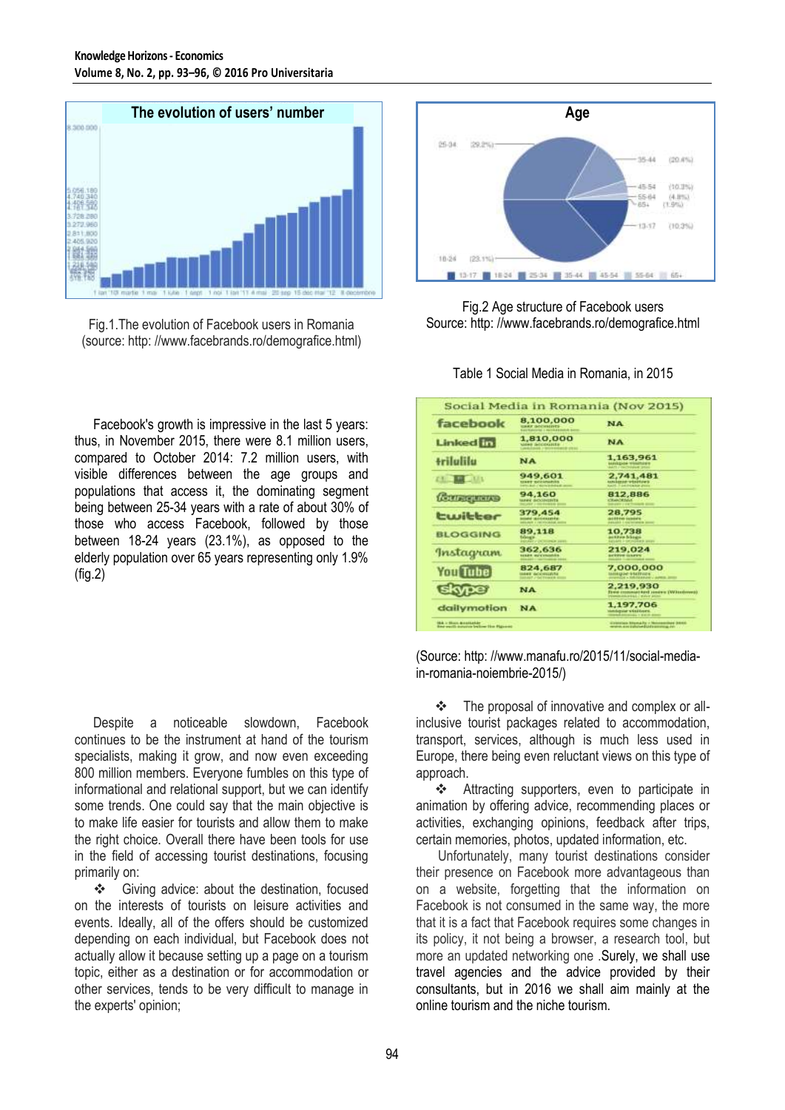

Fig.1.The evolution of Facebook users in Romania (source: http: //www.facebrands.ro/demografice.html)

Facebook's growth is impressive in the last 5 years: thus, in November 2015, there were 8.1 million users, compared to October 2014: 7.2 million users, with visible differences between the age groups and populations that access it, the dominating segment being between 25-34 years with a rate of about 30% of those who access Facebook, followed by those between 18-24 years (23.1%), as opposed to the elderly population over 65 years representing only 1.9% (fig.2)

Despite a noticeable slowdown, Facebook continues to be the instrument at hand of the tourism specialists, making it grow, and now even exceeding 800 million members. Everyone fumbles on this type of informational and relational support, but we can identify some trends. One could say that the main objective is to make life easier for tourists and allow them to make the right choice. Overall there have been tools for use in the field of accessing tourist destinations, focusing primarily on:

 Giving advice: about the destination, focused on the interests of tourists on leisure activities and events. Ideally, all of the offers should be customized depending on each individual, but Facebook does not actually allow it because setting up a page on a tourism topic, either as a destination or for accommodation or other services, tends to be very difficult to manage in the experts' opinion;



Fig.2 Age structure of Facebook users Source: http: //www.facebrands.ro/demografice.html

Table 1 Social Media in Romania, in 2015

| 8,100,000<br>URKE INTERNATIVES<br><b>SALTAGEORIE I: RETRAINE</b>                   | <b>NA</b>                                                                |  |  |
|------------------------------------------------------------------------------------|--------------------------------------------------------------------------|--|--|
| 1,810,000<br><b>SIGNS INCONSISTS</b><br><b>CANADI / MATCHER HOMES &amp; STRIKE</b> | <b>NA</b>                                                                |  |  |
| <b>NA</b>                                                                          | 1,163,961<br><b>LAKWRITHE MELLINGS</b>                                   |  |  |
| 949,601<br><b>LEAST BASEMENTS</b><br><b>EXPECTIVES IT MAY BE AN ARREST WITHOUT</b> | 2,741,481<br>sunsketcher unknowling is<br><b>KATE, Family Lake Print</b> |  |  |
| 94,160<br>tames' distribution by                                                   | 812,886<br><b>CRANCRIDGE</b>                                             |  |  |
| 379,454<br><b>NUMBER OF STREET</b>                                                 | 28,795<br><b>ALCOHOL: LANGER</b><br>Adducts I contractable and           |  |  |
| 89.118<br><b>Talatowith</b>                                                        | 10.738<br>autone blasse<br><b>GELERIA - GALICIARE SHOP</b>               |  |  |
| 362,636<br><b>NUMBER OF STANDARDS</b>                                              | 219.024<br><b>AUTOROFF CLAUSTER</b>                                      |  |  |
| 824,687<br>MARK ACCORDINATO<br>AROUND CONTRACTOR                                   | 7,000,000<br>MASAuguler-Scheldtruite<br><b>CARLING CARRIER ANNUS</b>     |  |  |
| <b>NA</b>                                                                          | 2,219,930<br>Tone insertion and reserve (Witchness)                      |  |  |
| <b>NA</b>                                                                          | 1,197,706<br>methorism which trees.<br><b>CONTRACT CARDS AND</b>         |  |  |
|                                                                                    | <b>MOUNT CONTROLLED HIM</b><br><b>PER STREET</b>                         |  |  |

(Source: http: //www.manafu.ro/2015/11/social-mediain-romania-noiembrie-2015/)

 The proposal of innovative and complex or allinclusive tourist packages related to accommodation, transport, services, although is much less used in Europe, there being even reluctant views on this type of approach.

 Attracting supporters, even to participate in animation by offering advice, recommending places or activities, exchanging opinions, feedback after trips, certain memories, photos, updated information, etc.

Unfortunately, many tourist destinations consider their presence on Facebook more advantageous than on a website, forgetting that the information on Facebook is not consumed in the same way, the more that it is a fact that Facebook requires some changes in its policy, it not being a browser, a research tool, but more an updated networking one .Surely, we shall use travel agencies and the advice provided by their consultants, but in 2016 we shall aim mainly at the online tourism and the niche tourism.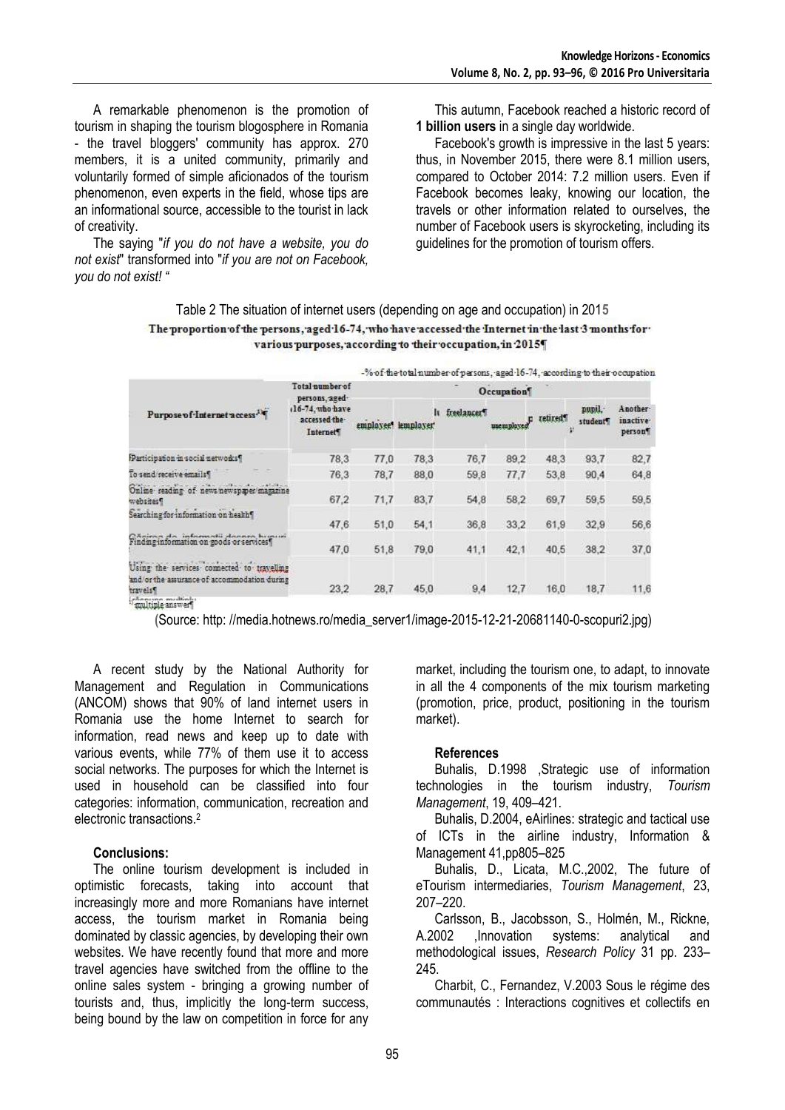A remarkable phenomenon is the promotion of tourism in shaping the tourism blogosphere in Romania - the travel bloggers' community has approx. 270 members, it is a united community, primarily and voluntarily formed of simple aficionados of the tourism phenomenon, even experts in the field, whose tips are an informational source, accessible to the tourist in lack of creativity.

The saying "*if you do not have a website, you do not exist*" transformed into "*if you are not on Facebook, you do not exist! "*

This autumn, Facebook reached a historic record of **1 billion users** in a single day worldwide.

Facebook's growth is impressive in the last 5 years: thus, in November 2015, there were 8.1 million users, compared to October 2014: 7.2 million users. Even if Facebook becomes leaky, knowing our location, the travels or other information related to ourselves, the number of Facebook users is skyrocketing, including its guidelines for the promotion of tourism offers.

### Table 2 The situation of internet users (depending on age and occupation) in 201**5** The proportion of the persons, aged 16-74, who have accessed the Internet in the last 3 months for various purposes, according to their occupation, in 2015

|                                                                                                                             | -% of the total number of persons, aged 16-74, according to their occupation                         |            |                 |                         |           |               |                   |                                             |
|-----------------------------------------------------------------------------------------------------------------------------|------------------------------------------------------------------------------------------------------|------------|-----------------|-------------------------|-----------|---------------|-------------------|---------------------------------------------|
| Purpose of Internet access. <sup>14</sup>                                                                                   | Total number of<br>persons, aged<br>(16-74, who have<br>accessed the-<br><b>Internet<sup>4</sup></b> | Occupation |                 |                         |           |               |                   |                                             |
|                                                                                                                             |                                                                                                      | employee?  | lı<br>lemployer | freelancer <sup>9</sup> | unemploys | retired<br>¢, | pupil.<br>student | Another-<br>inactive <sup>.</sup><br>person |
| Participation in social networks!                                                                                           | 78.3                                                                                                 | 77,0       | 78.3            | 76,7                    | 89.2      | 48,3          | 93,7              | 82.7                                        |
| To send/receive emails!                                                                                                     | 76.3                                                                                                 | 78.7       | 88.0            | 59.8                    | 77.7      | 53.8          | 90.4              | 64,8                                        |
| Online reading of news newspaper magazine<br>websites!                                                                      | 67.2                                                                                                 | 71,7       | 83.7            | 54.8                    | 58.2      | 69.7          | 59.5              | 59.5                                        |
| Searching for information on health?                                                                                        | 47.6                                                                                                 | 51,0       | 54.1            | 36.8                    | 33.2      | 61,9          | 32.9              | 56.6                                        |
| Chairna da informatii donnen bruurri<br>Finding information on goods or services!                                           | 47.0                                                                                                 | 51,8       | 79.0            | 41,1                    | 42.1      | 40.5          | 38,2              | 37,0                                        |
| Using the services connected to travelling<br>and/or the assurance of accommodation during<br>travels?<br>cheesene multinut | 23.2                                                                                                 | 28.7       | 45.0            | 9.4                     | 12.7      | 16.0          | 18.7              | 11,6                                        |

multiple answer

**(**Source: http: //media.hotnews.ro/media\_server1/image-2015-12-21-20681140-0-scopuri2.jpg)

A recent study by the National Authority for Management and Regulation in Communications (ANCOM) shows that 90% of land internet users in Romania use the home Internet to search for information, read news and keep up to date with various events, while 77% of them use it to access social networks. The purposes for which the Internet is used in household can be classified into four categories: information, communication, recreation and electronic transactions.<sup>2</sup>

## **Conclusions:**

The online tourism development is included in optimistic forecasts, taking into account that increasingly more and more Romanians have internet access, the tourism market in Romania being dominated by classic agencies, by developing their own websites. We have recently found that more and more travel agencies have switched from the offline to the online sales system - bringing a growing number of tourists and, thus, implicitly the long-term success, being bound by the law on competition in force for any

market, including the tourism one, to adapt, to innovate in all the 4 components of the mix tourism marketing (promotion, price, product, positioning in the tourism market).

## **References**

Buhalis, D.1998 ,Strategic use of information technologies in the tourism industry, *Tourism Management*, 19, 409–421.

Buhalis, D.2004, eAirlines: strategic and tactical use of ICTs in the airline industry, Information & Management 41,pp805–825

Buhalis, D., Licata, M.C.,2002, The future of eTourism intermediaries, *Tourism Management*, 23, 207–220.

Carlsson, B., Jacobsson, S., Holmén, M., Rickne, A.2002 ,Innovation systems: analytical and methodological issues, *Research Policy* 31 pp. 233– 245.

Charbit, C., Fernandez, V.2003 Sous le régime des communautés : Interactions cognitives et collectifs en